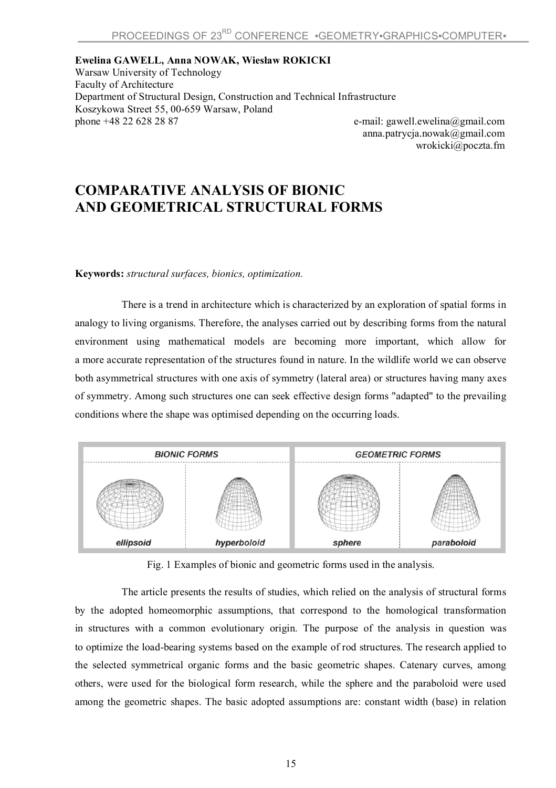**Ewelina GAWELL, Anna NOWAK, Wiesław ROKICKI** Warsaw University of Technology Faculty of Architecture Department of Structural Design, Construction and Technical Infrastructure Koszykowa Street 55, 00-659 Warsaw, Poland phone +48 22 628 28 87 e-mail: gawell.ewelina@gmail.com

anna.patrycja.nowak@gmail.com wrokicki@poczta.fm

## **COMPARATIVE ANALYSIS OF BIONIC AND GEOMETRICAL STRUCTURAL FORMS**

## **Keywords:** *structural surfaces, bionics, optimization.*

There is a trend in architecture which is characterized by an exploration of spatial forms in analogy to living organisms. Therefore, the analyses carried out by describing forms from the natural environment using mathematical models are becoming more important, which allow for a more accurate representation of the structures found in nature. In the wildlife world we can observe both asymmetrical structures with one axis of symmetry (lateral area) or structures having many axes of symmetry. Among such structures one can seek effective design forms "adapted" to the prevailing conditions where the shape was optimised depending on the occurring loads.



Fig. 1 Examples of bionic and geometric forms used in the analysis.

The article presents the results of studies, which relied on the analysis of structural forms by the adopted homeomorphic assumptions, that correspond to the homological transformation in structures with a common evolutionary origin. The purpose of the analysis in question was to optimize the load-bearing systems based on the example of rod structures. The research applied to the selected symmetrical organic forms and the basic geometric shapes. Catenary curves, among others, were used for the biological form research, while the sphere and the paraboloid were used among the geometric shapes. The basic adopted assumptions are: constant width (base) in relation